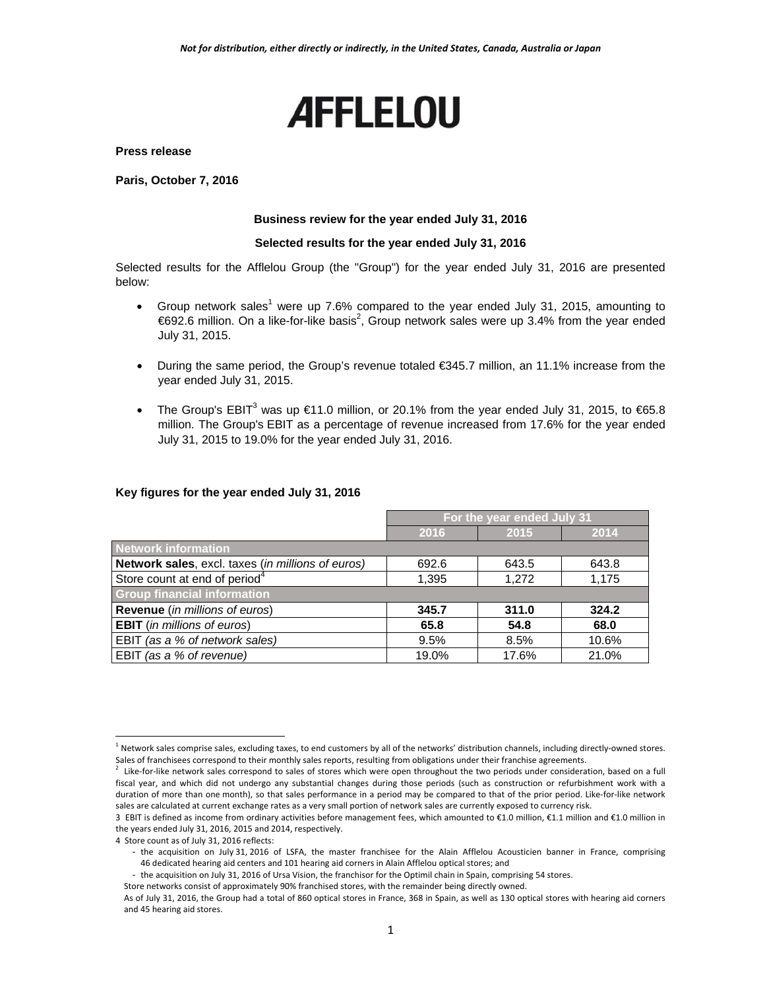# **AFFLELOU**

**Press release** 

**Paris, October 7, 2016** 

## **Business review for the year ended July 31, 2016**

#### **Selected results for the year ended July 31, 2016**

Selected results for the Afflelou Group (the "Group") for the year ended July 31, 2016 are presented below:

- Group network sales<sup>1</sup> were up 7.6% compared to the year ended July 31, 2015, amounting to  $€692.6$  million. On a like-for-like basis<sup>2</sup>, Group network sales were up 3.4% from the year ended July 31, 2015.
- During the same period, the Group's revenue totaled €345.7 million, an 11.1% increase from the year ended July 31, 2015.
- The Group's EBIT<sup>3</sup> was up €11.0 million, or 20.1% from the year ended July 31, 2015, to €65.8 million. The Group's EBIT as a percentage of revenue increased from 17.6% for the year ended July 31, 2015 to 19.0% for the year ended July 31, 2016.

#### **Key figures for the year ended July 31, 2016**

|                                                   | For the year ended July 31 |       |       |  |  |
|---------------------------------------------------|----------------------------|-------|-------|--|--|
|                                                   | 2016                       | 2015  | 2014  |  |  |
| <b>Network information</b>                        |                            |       |       |  |  |
| Network sales, excl. taxes (in millions of euros) | 692.6                      | 643.5 | 643.8 |  |  |
| Store count at end of period <sup>4</sup>         | 1,395                      | 1,272 | 1,175 |  |  |
| <b>Group financial information</b>                |                            |       |       |  |  |
| <b>Revenue</b> (in millions of euros)             | 345.7                      | 311.0 | 324.2 |  |  |
| <b>EBIT</b> (in millions of euros)                | 65.8                       | 54.8  | 68.0  |  |  |
| EBIT (as a % of network sales)                    | 9.5%                       | 8.5%  | 10.6% |  |  |
| EBIT (as a % of revenue)                          | 19.0%                      | 17.6% | 21.0% |  |  |
|                                                   |                            |       |       |  |  |

 $\overline{a}$ 

<sup>&</sup>lt;sup>1</sup> Network sales comprise sales, excluding taxes, to end customers by all of the networks' distribution channels, including directly-owned stores.

Sales of franchisees correspond to their monthly sales reports, resulting from obligations under their franchise agreements.<br><sup>2</sup> Like-for-like network sales correspond to sales of stores which were open throughout the two fiscal year, and which did not undergo any substantial changes during those periods (such as construction or refurbishment work with a duration of more than one month), so that sales performance in a period may be compared to that of the prior period. Like-for-like network sales are calculated at current exchange rates as a very small portion of network sales are currently exposed to currency risk.

<sup>3</sup> EBIT is defined as income from ordinary activities before management fees, which amounted to €1.0 million, €1.1 million and €1.0 million in the years ended July 31, 2016, 2015 and 2014, respectively.

<sup>4</sup> Store count as of July 31, 2016 reflects:

<sup>-</sup> the acquisition on July 31, 2016 of LSFA, the master franchisee for the Alain Afflelou Acousticien banner in France, comprising 46 dedicated hearing aid centers and 101 hearing aid corners in Alain Afflelou optical stores; and

<sup>-</sup> the acquisition on July 31, 2016 of Ursa Vision, the franchisor for the Optimil chain in Spain, comprising 54 stores.

Store networks consist of approximately 90% franchised stores, with the remainder being directly owned.

As of July 31, 2016, the Group had a total of 860 optical stores in France, 368 in Spain, as well as 130 optical stores with hearing aid corners and 45 hearing aid stores.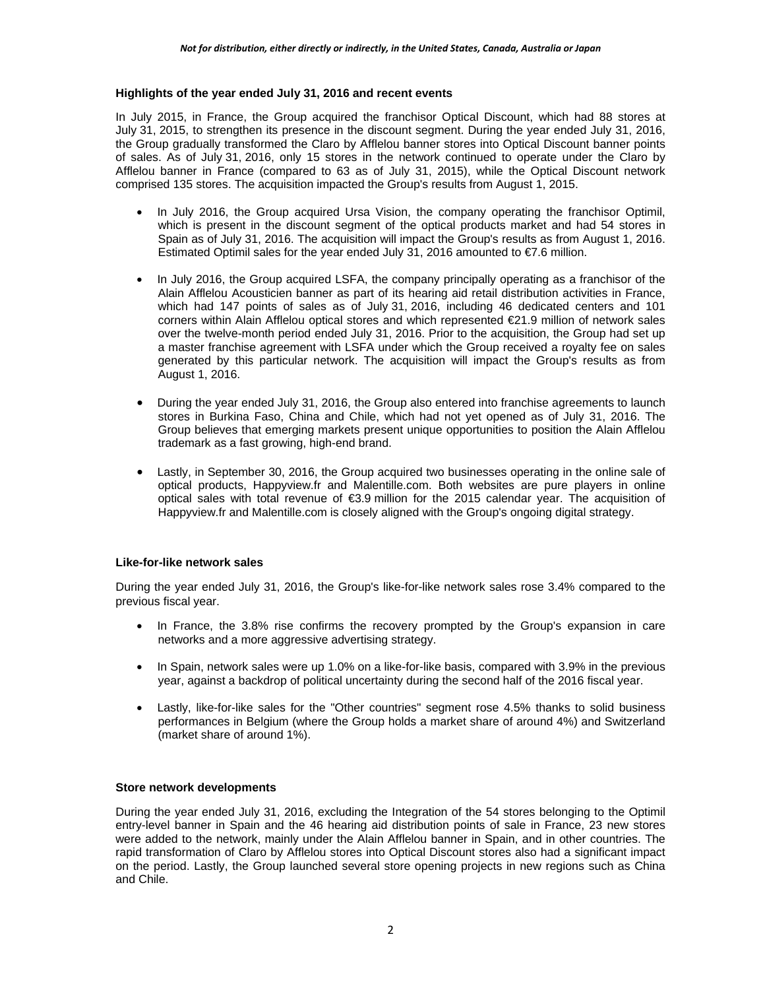# **Highlights of the year ended July 31, 2016 and recent events**

In July 2015, in France, the Group acquired the franchisor Optical Discount, which had 88 stores at July 31, 2015, to strengthen its presence in the discount segment. During the year ended July 31, 2016, the Group gradually transformed the Claro by Afflelou banner stores into Optical Discount banner points of sales. As of July 31, 2016, only 15 stores in the network continued to operate under the Claro by Afflelou banner in France (compared to 63 as of July 31, 2015), while the Optical Discount network comprised 135 stores. The acquisition impacted the Group's results from August 1, 2015.

- In July 2016, the Group acquired Ursa Vision, the company operating the franchisor Optimil, which is present in the discount segment of the optical products market and had 54 stores in Spain as of July 31, 2016. The acquisition will impact the Group's results as from August 1, 2016. Estimated Optimil sales for the year ended July 31, 2016 amounted to  $\epsilon$ 7.6 million.
- In July 2016, the Group acquired LSFA, the company principally operating as a franchisor of the Alain Afflelou Acousticien banner as part of its hearing aid retail distribution activities in France, which had 147 points of sales as of July 31, 2016, including 46 dedicated centers and 101 corners within Alain Afflelou optical stores and which represented €21.9 million of network sales over the twelve-month period ended July 31, 2016. Prior to the acquisition, the Group had set up a master franchise agreement with LSFA under which the Group received a royalty fee on sales generated by this particular network. The acquisition will impact the Group's results as from August 1, 2016.
- During the year ended July 31, 2016, the Group also entered into franchise agreements to launch stores in Burkina Faso, China and Chile, which had not yet opened as of July 31, 2016. The Group believes that emerging markets present unique opportunities to position the Alain Afflelou trademark as a fast growing, high-end brand.
- Lastly, in September 30, 2016, the Group acquired two businesses operating in the online sale of optical products, Happyview.fr and Malentille.com. Both websites are pure players in online optical sales with total revenue of €3.9 million for the 2015 calendar year. The acquisition of Happyview.fr and Malentille.com is closely aligned with the Group's ongoing digital strategy.

# **Like-for-like network sales**

During the year ended July 31, 2016, the Group's like-for-like network sales rose 3.4% compared to the previous fiscal year.

- In France, the 3.8% rise confirms the recovery prompted by the Group's expansion in care networks and a more aggressive advertising strategy.
- In Spain, network sales were up 1.0% on a like-for-like basis, compared with 3.9% in the previous year, against a backdrop of political uncertainty during the second half of the 2016 fiscal year.
- Lastly, like-for-like sales for the "Other countries" segment rose 4.5% thanks to solid business performances in Belgium (where the Group holds a market share of around 4%) and Switzerland (market share of around 1%).

# **Store network developments**

During the year ended July 31, 2016, excluding the Integration of the 54 stores belonging to the Optimil entry-level banner in Spain and the 46 hearing aid distribution points of sale in France, 23 new stores were added to the network, mainly under the Alain Afflelou banner in Spain, and in other countries. The rapid transformation of Claro by Afflelou stores into Optical Discount stores also had a significant impact on the period. Lastly, the Group launched several store opening projects in new regions such as China and Chile.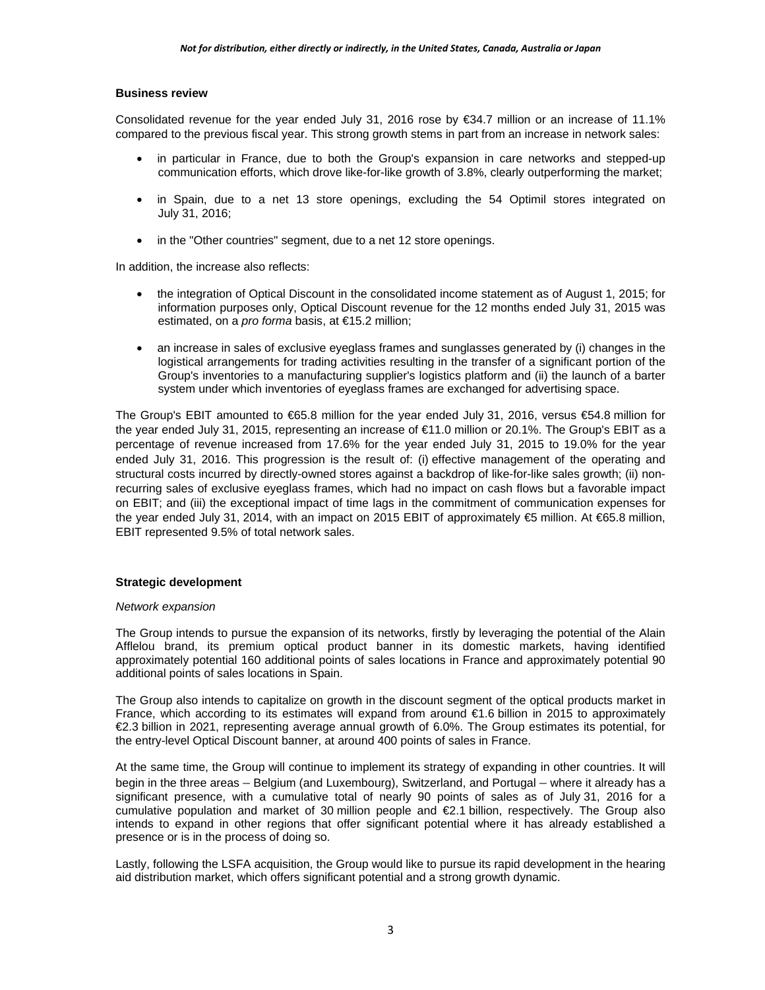# **Business review**

Consolidated revenue for the year ended July 31, 2016 rose by €34.7 million or an increase of 11.1% compared to the previous fiscal year. This strong growth stems in part from an increase in network sales:

- in particular in France, due to both the Group's expansion in care networks and stepped-up communication efforts, which drove like-for-like growth of 3.8%, clearly outperforming the market;
- in Spain, due to a net 13 store openings, excluding the 54 Optimil stores integrated on July 31, 2016;
- in the "Other countries" segment, due to a net 12 store openings.

In addition, the increase also reflects:

- the integration of Optical Discount in the consolidated income statement as of August 1, 2015; for information purposes only, Optical Discount revenue for the 12 months ended July 31, 2015 was estimated, on a *pro forma* basis, at €15.2 million;
- an increase in sales of exclusive eyeglass frames and sunglasses generated by (i) changes in the logistical arrangements for trading activities resulting in the transfer of a significant portion of the Group's inventories to a manufacturing supplier's logistics platform and (ii) the launch of a barter system under which inventories of eyeglass frames are exchanged for advertising space.

The Group's EBIT amounted to €65.8 million for the year ended July 31, 2016, versus €54.8 million for the year ended July 31, 2015, representing an increase of €11.0 million or 20.1%. The Group's EBIT as a percentage of revenue increased from 17.6% for the year ended July 31, 2015 to 19.0% for the year ended July 31, 2016. This progression is the result of: (i) effective management of the operating and structural costs incurred by directly-owned stores against a backdrop of like-for-like sales growth; (ii) nonrecurring sales of exclusive eyeglass frames, which had no impact on cash flows but a favorable impact on EBIT; and (iii) the exceptional impact of time lags in the commitment of communication expenses for the year ended July 31, 2014, with an impact on 2015 EBIT of approximately €5 million. At €65.8 million, EBIT represented 9.5% of total network sales.

# **Strategic development**

#### *Network expansion*

The Group intends to pursue the expansion of its networks, firstly by leveraging the potential of the Alain Afflelou brand, its premium optical product banner in its domestic markets, having identified approximately potential 160 additional points of sales locations in France and approximately potential 90 additional points of sales locations in Spain.

The Group also intends to capitalize on growth in the discount segment of the optical products market in France, which according to its estimates will expand from around €1.6 billion in 2015 to approximately €2.3 billion in 2021, representing average annual growth of 6.0%. The Group estimates its potential, for the entry-level Optical Discount banner, at around 400 points of sales in France.

At the same time, the Group will continue to implement its strategy of expanding in other countries. It will begin in the three areas – Belgium (and Luxembourg), Switzerland, and Portugal – where it already has a significant presence, with a cumulative total of nearly 90 points of sales as of July 31, 2016 for a cumulative population and market of 30 million people and €2.1 billion, respectively. The Group also intends to expand in other regions that offer significant potential where it has already established a presence or is in the process of doing so.

Lastly, following the LSFA acquisition, the Group would like to pursue its rapid development in the hearing aid distribution market, which offers significant potential and a strong growth dynamic.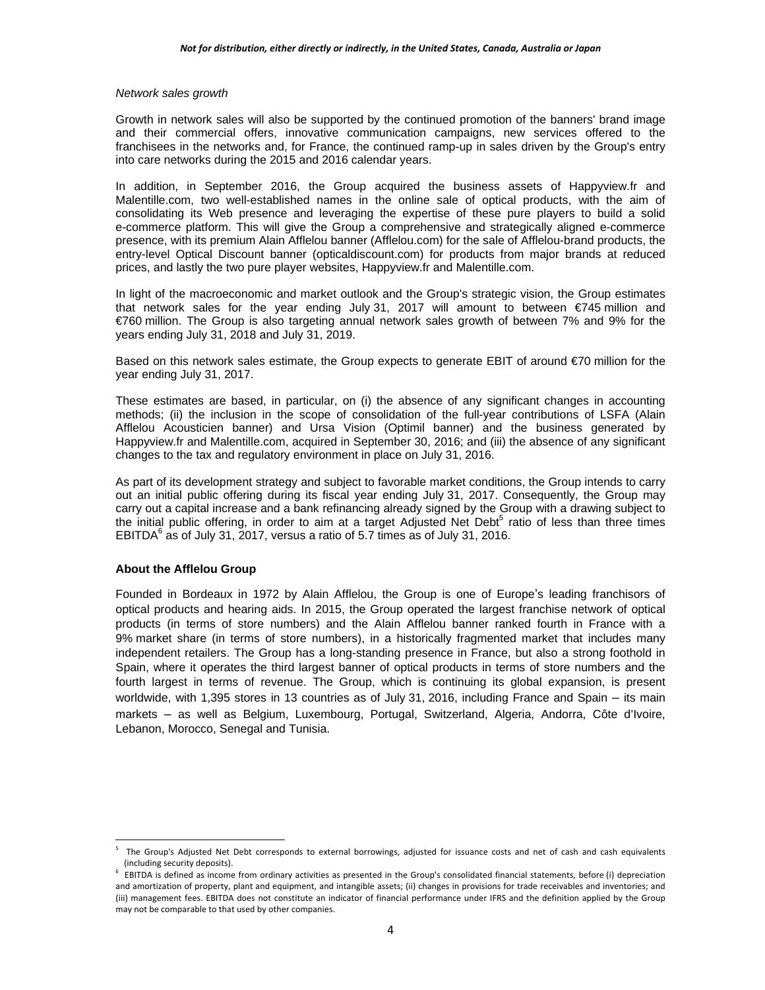#### *Network sales growth*

Growth in network sales will also be supported by the continued promotion of the banners' brand image and their commercial offers, innovative communication campaigns, new services offered to the franchisees in the networks and, for France, the continued ramp-up in sales driven by the Group's entry into care networks during the 2015 and 2016 calendar years.

In addition, in September 2016, the Group acquired the business assets of Happyview.fr and Malentille.com, two well-established names in the online sale of optical products, with the aim of consolidating its Web presence and leveraging the expertise of these pure players to build a solid e-commerce platform. This will give the Group a comprehensive and strategically aligned e-commerce presence, with its premium Alain Afflelou banner (Afflelou.com) for the sale of Afflelou-brand products, the entry-level Optical Discount banner (opticaldiscount.com) for products from major brands at reduced prices, and lastly the two pure player websites, Happyview.fr and Malentille.com.

In light of the macroeconomic and market outlook and the Group's strategic vision, the Group estimates that network sales for the year ending July 31, 2017 will amount to between  $\epsilon$ 745 million and €760 million. The Group is also targeting annual network sales growth of between 7% and 9% for the years ending July 31, 2018 and July 31, 2019.

Based on this network sales estimate, the Group expects to generate EBIT of around €70 million for the year ending July 31, 2017.

These estimates are based, in particular, on (i) the absence of any significant changes in accounting methods; (ii) the inclusion in the scope of consolidation of the full-year contributions of LSFA (Alain Afflelou Acousticien banner) and Ursa Vision (Optimil banner) and the business generated by Happyview.fr and Malentille.com, acquired in September 30, 2016; and (iii) the absence of any significant changes to the tax and regulatory environment in place on July 31, 2016.

As part of its development strategy and subject to favorable market conditions, the Group intends to carry out an initial public offering during its fiscal year ending July 31, 2017. Consequently, the Group may carry out a capital increase and a bank refinancing already signed by the Group with a drawing subject to the initial public offering, in order to aim at a target Adjusted Net Debt<sup>5</sup> ratio of less than three times EBITDA $^6$  as of July 31, 2017, versus a ratio of 5.7 times as of July 31, 2016.

## **About the Afflelou Group**

Founded in Bordeaux in 1972 by Alain Afflelou, the Group is one of Europe's leading franchisors of optical products and hearing aids. In 2015, the Group operated the largest franchise network of optical products (in terms of store numbers) and the Alain Afflelou banner ranked fourth in France with a 9% market share (in terms of store numbers), in a historically fragmented market that includes many independent retailers. The Group has a long-standing presence in France, but also a strong foothold in Spain, where it operates the third largest banner of optical products in terms of store numbers and the fourth largest in terms of revenue. The Group, which is continuing its global expansion, is present worldwide, with 1,395 stores in 13 countries as of July 31, 2016, including France and Spain – its main markets – as well as Belgium, Luxembourg, Portugal, Switzerland, Algeria, Andorra, Côte d'Ivoire, Lebanon, Morocco, Senegal and Tunisia.

 5 The Group's Adjusted Net Debt corresponds to external borrowings, adjusted for issuance costs and net of cash and cash equivalents

<sup>(</sup>including security deposits).<br><sup>6</sup> EBITDA is defined as income from ordinary activities as presented in the Group's consolidated financial statements, before (i) depreciation and amortization of property, plant and equipment, and intangible assets; (ii) changes in provisions for trade receivables and inventories; and (iii) management fees. EBITDA does not constitute an indicator of financial performance under IFRS and the definition applied by the Group may not be comparable to that used by other companies.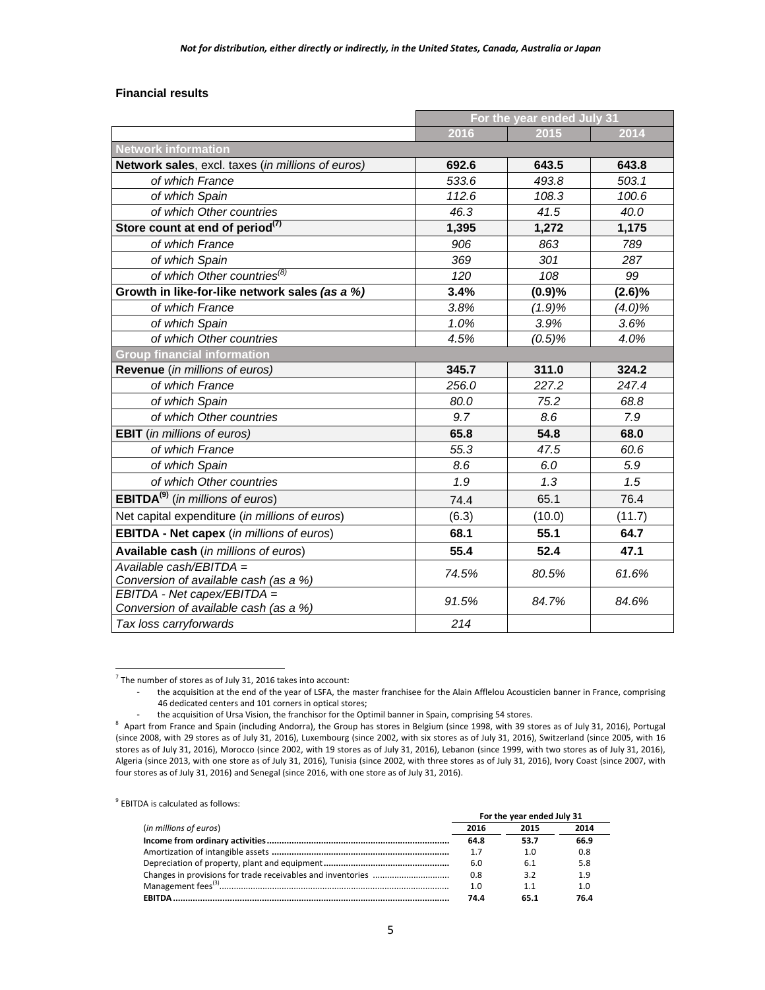## **Financial results**

|                                                                      | For the year ended July 31 |        |           |  |  |  |
|----------------------------------------------------------------------|----------------------------|--------|-----------|--|--|--|
|                                                                      | 2016                       | 2015   | 2014      |  |  |  |
| <b>Network information</b>                                           |                            |        |           |  |  |  |
| Network sales, excl. taxes (in millions of euros)                    | 692.6                      | 643.5  | 643.8     |  |  |  |
| of which France                                                      | 533.6                      | 493.8  | 503.1     |  |  |  |
| of which Spain                                                       | 112.6                      | 108.3  | 100.6     |  |  |  |
| of which Other countries                                             | 46.3<br>41.5               |        | 40.0      |  |  |  |
| Store count at end of period <sup>(7)</sup>                          | 1,395                      | 1,272  | 1,175     |  |  |  |
| of which France                                                      | 906                        | 863    | 789       |  |  |  |
| of which Spain                                                       | 369                        | 301    | 287       |  |  |  |
| of which Other countries <sup>(8)</sup>                              | 120                        | 108    | 99        |  |  |  |
| Growth in like-for-like network sales (as a %)                       | 3.4%                       | (0.9)% | $(2.6)\%$ |  |  |  |
| of which France                                                      | 3.8%                       | (1.9)% | $(4.0)\%$ |  |  |  |
| of which Spain                                                       | 1.0%                       | 3.9%   | 3.6%      |  |  |  |
| of which Other countries                                             | 4.5%                       | (0.5)% | 4.0%      |  |  |  |
| <b>Group financial information</b>                                   |                            |        |           |  |  |  |
| Revenue (in millions of euros)                                       | 345.7                      | 311.0  | 324.2     |  |  |  |
| of which France                                                      | 256.0                      | 227.2  | 247.4     |  |  |  |
| of which Spain                                                       | 80.0                       | 75.2   | 68.8      |  |  |  |
| of which Other countries                                             | 9.7                        | 8.6    | 7.9       |  |  |  |
| <b>EBIT</b> (in millions of euros)                                   | 65.8                       | 54.8   | 68.0      |  |  |  |
| of which France                                                      | 55.3                       | 47.5   | 60.6      |  |  |  |
| of which Spain                                                       | 8.6                        | 6.0    | 5.9       |  |  |  |
| of which Other countries                                             | 1.9                        | 1.3    | 1.5       |  |  |  |
| <b>EBITDA<sup>(9)</sup></b> (in millions of euros)                   | 74.4                       | 65.1   | 76.4      |  |  |  |
| Net capital expenditure (in millions of euros)                       | (6.3)                      | (10.0) | (11.7)    |  |  |  |
| <b>EBITDA - Net capex</b> (in millions of euros)                     | 68.1                       | 55.1   | 64.7      |  |  |  |
| Available cash (in millions of euros)                                | 55.4                       | 52.4   | 47.1      |  |  |  |
| Available cash/EBITDA =<br>Conversion of available cash (as a %)     | 74.5%                      | 80.5%  | 61.6%     |  |  |  |
| EBITDA - Net capex/EBITDA =<br>Conversion of available cash (as a %) | 91.5%                      | 84.7%  | 84.6%     |  |  |  |
| Tax loss carryforwards                                               | 214                        |        |           |  |  |  |

 $\frac{1}{7}$  The number of stores as of July 31, 2016 takes into account:

9 EBITDA is calculated as follows:

|                        | For the year ended July 31 |      |      |
|------------------------|----------------------------|------|------|
| (in millions of euros) | 2016                       | 2015 | 2014 |
|                        | 64.8                       | 53.7 | 66.9 |
|                        | 1.7                        | 1.0  | 0.8  |
|                        | 6.0                        | 6.1  | 5.8  |
|                        | 0.8                        | 3.2  | 1.9  |
|                        | 1.0                        | 1.1  | 1.0  |
| <b>FRITDA</b>          | 74 A                       | 65.1 | 76.4 |

<sup>-</sup> the acquisition at the end of the year of LSFA, the master franchisee for the Alain Afflelou Acousticien banner in France, comprising 46 dedicated centers and 101 corners in optical stores;

the acquisition of Ursa Vision, the franchisor for the Optimil banner in Spain, comprising 54 stores.

<sup>&</sup>lt;sup>8</sup> Apart from France and Spain (including Andorra), the Group has stores in Belgium (since 1998, with 39 stores as of July 31, 2016), Portugal (since 2008, with 29 stores as of July 31, 2016), Luxembourg (since 2002, with six stores as of July 31, 2016), Switzerland (since 2005, with 16 stores as of July 31, 2016), Morocco (since 2002, with 19 stores as of July 31, 2016), Lebanon (since 1999, with two stores as of July 31, 2016), Algeria (since 2013, with one store as of July 31, 2016), Tunisia (since 2002, with three stores as of July 31, 2016), Ivory Coast (since 2007, with four stores as of July 31, 2016) and Senegal (since 2016, with one store as of July 31, 2016).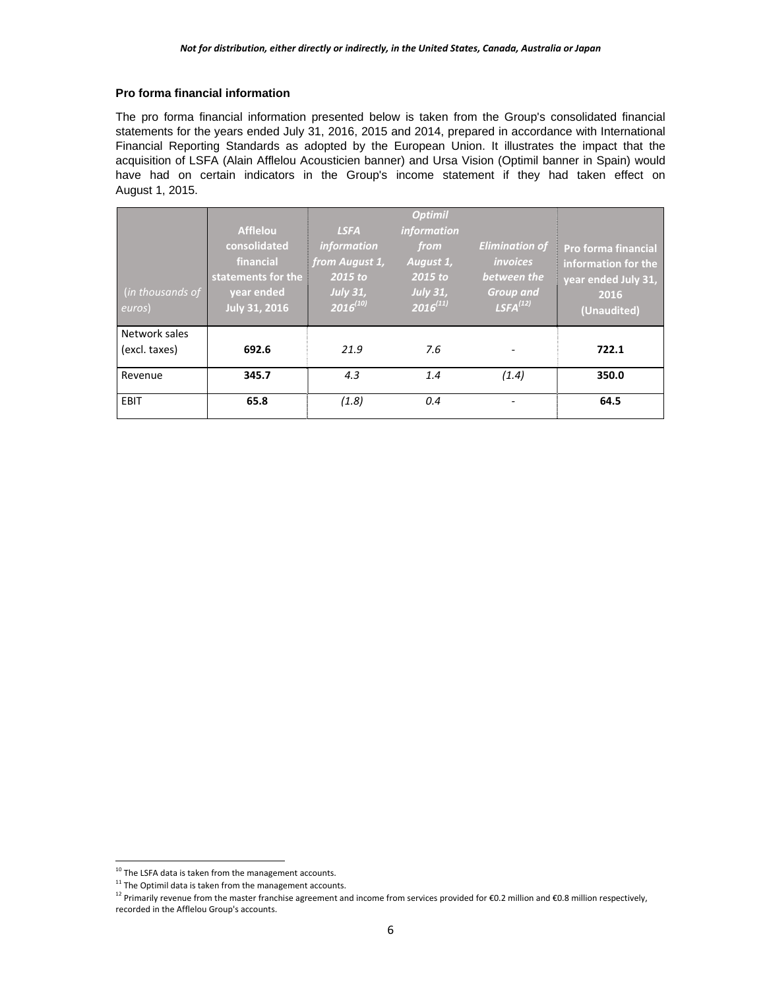# **Pro forma financial information**

The pro forma financial information presented below is taken from the Group's consolidated financial statements for the years ended July 31, 2016, 2015 and 2014, prepared in accordance with International Financial Reporting Standards as adopted by the European Union. It illustrates the impact that the acquisition of LSFA (Alain Afflelou Acousticien banner) and Ursa Vision (Optimil banner in Spain) would have had on certain indicators in the Group's income statement if they had taken effect on August 1, 2015.

| $\int$ (in thousands of<br>euros) | <b>Afflelou</b><br>consolidated<br>financial<br>statements for the<br>vear ended<br>July 31, 2016 | <b>LSFA</b><br><i>information</i><br>from August 1,<br>2015 to<br><b>July 31,</b><br>$2016^{(10)}$ | <b>Optimil</b><br>information<br>from<br>August 1,<br>$2015$ to<br><b>July 31,</b><br>$2016^{(11)}$ | <b>Elimination of</b><br><i>invoices</i><br>between the<br><b>Group and</b><br>$LSFA^{(12)}$ | <b>Pro forma financial</b><br>information for the<br>vear ended July 31,<br>2016<br>(Unaudited) |
|-----------------------------------|---------------------------------------------------------------------------------------------------|----------------------------------------------------------------------------------------------------|-----------------------------------------------------------------------------------------------------|----------------------------------------------------------------------------------------------|-------------------------------------------------------------------------------------------------|
| Network sales<br>(excl. taxes)    | 692.6                                                                                             | 21.9                                                                                               | 7.6                                                                                                 |                                                                                              | 722.1                                                                                           |
| Revenue                           | 345.7                                                                                             | 4.3                                                                                                | 1.4                                                                                                 | (1.4)                                                                                        | 350.0                                                                                           |
| EBIT                              | 65.8                                                                                              | (1.8)                                                                                              | 0.4                                                                                                 |                                                                                              | 64.5                                                                                            |

 $\overline{a}$ 

 $10$  The LSFA data is taken from the management accounts.

 $11$  The Optimil data is taken from the management accounts.

<sup>&</sup>lt;sup>12</sup> Primarily revenue from the master franchise agreement and income from services provided for €0.2 million and €0.8 million respectively, recorded in the Afflelou Group's accounts.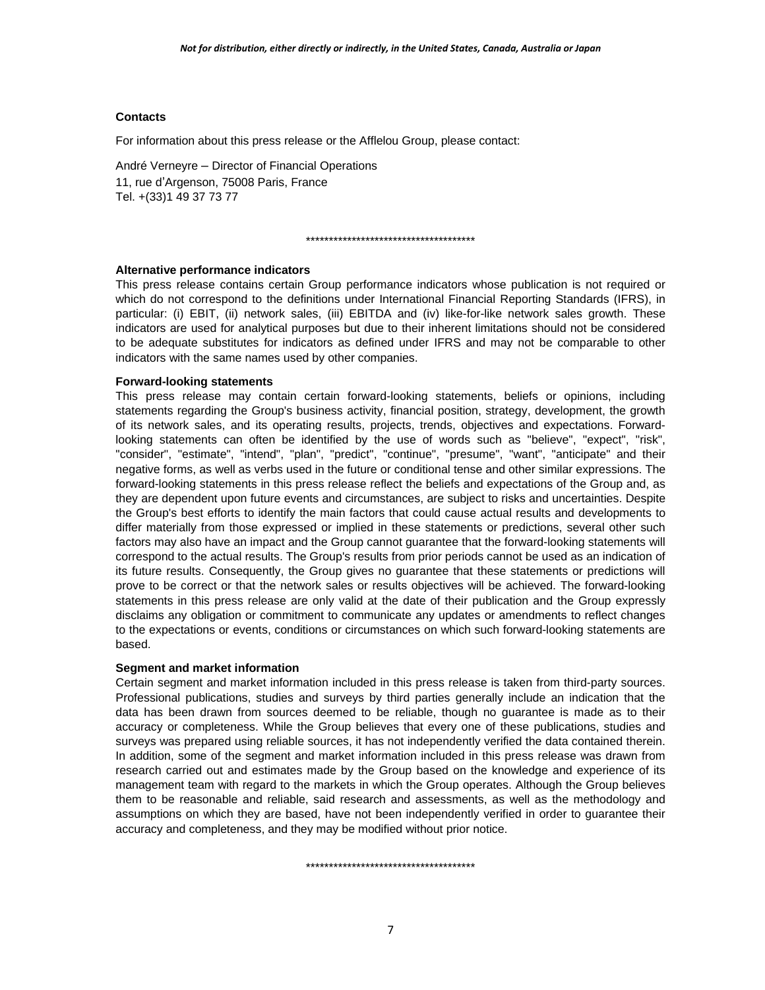# **Contacts**

For information about this press release or the Afflelou Group, please contact:

André Verneyre – Director of Financial Operations 11, rue d'Argenson, 75008 Paris, France Tel. +(33)1 49 37 73 77

#### \*\*\*\*\*\*\*\*\*\*\*\*\*\*\*\*\*\*\*\*\*\*\*\*\*\*\*\*\*\*\*\*\*\*\*\*\*

# **Alternative performance indicators**

This press release contains certain Group performance indicators whose publication is not required or which do not correspond to the definitions under International Financial Reporting Standards (IFRS), in particular: (i) EBIT, (ii) network sales, (iii) EBITDA and (iv) like-for-like network sales growth. These indicators are used for analytical purposes but due to their inherent limitations should not be considered to be adequate substitutes for indicators as defined under IFRS and may not be comparable to other indicators with the same names used by other companies.

# **Forward-looking statements**

This press release may contain certain forward-looking statements, beliefs or opinions, including statements regarding the Group's business activity, financial position, strategy, development, the growth of its network sales, and its operating results, projects, trends, objectives and expectations. Forwardlooking statements can often be identified by the use of words such as "believe", "expect", "risk", "consider", "estimate", "intend", "plan", "predict", "continue", "presume", "want", "anticipate" and their negative forms, as well as verbs used in the future or conditional tense and other similar expressions. The forward-looking statements in this press release reflect the beliefs and expectations of the Group and, as they are dependent upon future events and circumstances, are subject to risks and uncertainties. Despite the Group's best efforts to identify the main factors that could cause actual results and developments to differ materially from those expressed or implied in these statements or predictions, several other such factors may also have an impact and the Group cannot guarantee that the forward-looking statements will correspond to the actual results. The Group's results from prior periods cannot be used as an indication of its future results. Consequently, the Group gives no guarantee that these statements or predictions will prove to be correct or that the network sales or results objectives will be achieved. The forward-looking statements in this press release are only valid at the date of their publication and the Group expressly disclaims any obligation or commitment to communicate any updates or amendments to reflect changes to the expectations or events, conditions or circumstances on which such forward-looking statements are based.

# **Segment and market information**

Certain segment and market information included in this press release is taken from third-party sources. Professional publications, studies and surveys by third parties generally include an indication that the data has been drawn from sources deemed to be reliable, though no guarantee is made as to their accuracy or completeness. While the Group believes that every one of these publications, studies and surveys was prepared using reliable sources, it has not independently verified the data contained therein. In addition, some of the segment and market information included in this press release was drawn from research carried out and estimates made by the Group based on the knowledge and experience of its management team with regard to the markets in which the Group operates. Although the Group believes them to be reasonable and reliable, said research and assessments, as well as the methodology and assumptions on which they are based, have not been independently verified in order to guarantee their accuracy and completeness, and they may be modified without prior notice.

\*\*\*\*\*\*\*\*\*\*\*\*\*\*\*\*\*\*\*\*\*\*\*\*\*\*\*\*\*\*\*\*\*\*\*\*\*